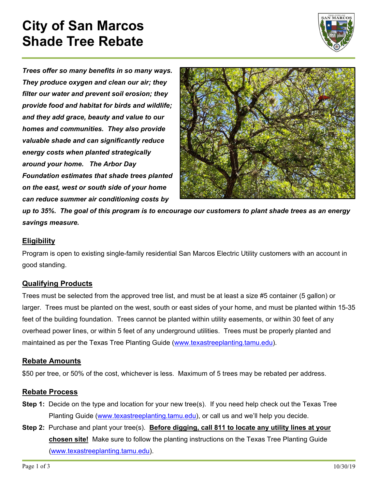# **City of San Marcos Shade Tree Rebate**



*Trees offer so many benefits in so many ways. They produce oxygen and clean our air; they filter our water and prevent soil erosion; they provide food and habitat for birds and wildlife; and they add grace, beauty and value to our homes and communities. They also provide valuable shade and can significantly reduce energy costs when planted strategically around your home. The Arbor Day Foundation estimates that shade trees planted on the east, west or south side of your home can reduce summer air conditioning costs by* 



*up to 35%. The goal of this program is to encourage our customers to plant shade trees as an energy savings measure.* 

#### **Eligibility**

Program is open to existing single-family residential San Marcos Electric Utility customers with an account in good standing.

#### **Qualifying Products**

Trees must be selected from the approved tree list, and must be at least a size #5 container (5 gallon) or larger. Trees must be planted on the west, south or east sides of your home, and must be planted within 15-35 feet of the building foundation. Trees cannot be planted within utility easements, or within 30 feet of any overhead power lines, or within 5 feet of any underground utilities. Trees must be properly planted and maintained as per the Texas Tree Planting Guide (www.texastreeplanting.tamu.edu).

#### **Rebate Amounts**

\$50 per tree, or 50% of the cost, whichever is less. Maximum of 5 trees may be rebated per address.

#### **Rebate Process**

- **Step 1:** Decide on the type and location for your new tree(s). If you need help check out the Texas Tree Planting Guide (www.texastreeplanting.tamu.edu), or call us and we'll help you decide.
- **Step 2:** Purchase and plant your tree(s). **Before digging, call 811 to locate any utility lines at your chosen site!** Make sure to follow the planting instructions on the Texas Tree Planting Guide (www.texastreeplanting.tamu.edu).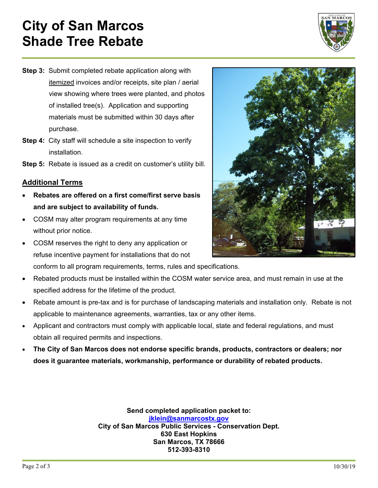# **City of San Marcos Shade Tree Rebate**



- **Step 3:** Submit completed rebate application along with itemized invoices and/or receipts, site plan / aerial view showing where trees were planted, and photos of installed tree(s). Application and supporting materials must be submitted within 30 days after purchase.
- **Step 4:** City staff will schedule a site inspection to verify installation.
- **Step 5:** Rebate is issued as a credit on customer's utility bill.

### **Additional Terms**

- **Rebates are offered on a first come/first serve basis and are subject to availability of funds.**
- COSM may alter program requirements at any time without prior notice.
- COSM reserves the right to deny any application or refuse incentive payment for installations that do not conform to all program requirements, terms, rules and specifications.
- Rebated products must be installed within the COSM water service area, and must remain in use at the specified address for the lifetime of the product.
- Rebate amount is pre-tax and is for purchase of landscaping materials and installation only. Rebate is not applicable to maintenance agreements, warranties, tax or any other items.
- Applicant and contractors must comply with applicable local, state and federal regulations, and must obtain all required permits and inspections.
- **The City of San Marcos does not endorse specific brands, products, contractors or dealers; nor does it guarantee materials, workmanship, performance or durability of rebated products.**

**Send completed application packet to: jklein@sanmarcostx.gov City of San Marcos Public Services - Conservation Dept. 630 East Hopkins San Marcos, TX 78666 512-393-8310**